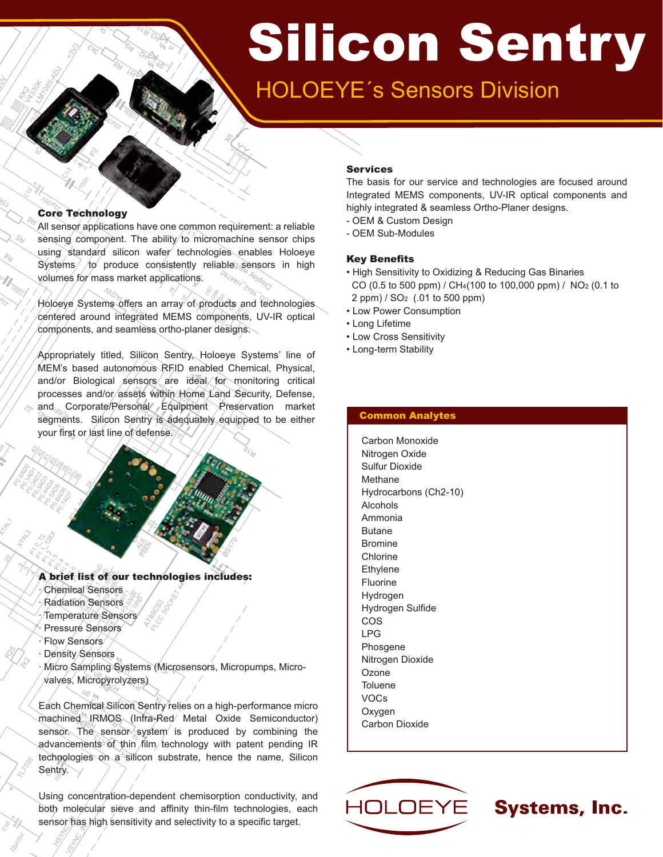# Silicon Sentry

# HOLOEYE´s Sensors Division

#### Core Technology

All sensor applications have one common requirement: a reliable sensing component. The ability to micromachine sensor chips using standard silicon wafer technologies enables Holoeye  $S$ ystems  $/$  to produce consistently reliable sensors in high volumes for mass market applications.

Holoeye Systems offers an array of products and technologies centered around integrated MEMS components, UV-IR optical components, and seamless ortho-planer designs.

Appropriately titled, Silicon Sentry, Holoeye Systems' line of MEM's based autonomous RFID enabled Chemical, Physical, and/or Biological sensors are ideal for monitoring critical processes and/or/assets within Home Land Security, Defense, and Corporate/Personal Equipment Preservation market segments. Silicon Sentry is adequately equipped to be either your first or last line of defense.

### A brief list of our technologies includes:

Chemical Sensors · Radiation Sensors · Temperature Sensors Pressure Sensors · Flow Sensors Density Sensors

· Micro Sampling Systems (Microsensors, Micropumps, Micro valves, Micropyrolyzers)

Each Chemical Silicon Sentry relies on a high-performance micro machined<sup>®</sup> IRMOS (Infra-Red Metal Oxide Semiconductor) sensor. The sensor system is produced by combining the advancements of thin film technology with patent pending IR technologies on a silicon substrate, hence the name, Silicon Sentry.

Using concentration-dependent chemisorption conductivity, and both molecular sieve and affinity thin-film technologies, each sensor has high sensitivity and selectivity to a specific target.

#### Services

The basis for our service and technologies are focused around Integrated MEMS components, UV-IR optical components and highly integrated & seamless Ortho-Planer designs.

- OEM & Custom Design
- OEM Sub-Modules

#### Key Benefits

- High Sensitivity to Oxidizing & Reducing Gas Binaries CO (0.5 to 500 ppm) / CH4(100 to 100,000 ppm) / NO2 (0.1 to 2 ppm) / SO2 (.01 to 500 ppm)
- Low Power Consumption
- Long Lifetime
- Low Cross Sensitivity
- Long-term Stability

#### Common Analytes

Carbon Monoxide Nitrogen Oxide Sulfur Dioxide Methane Hydrocarbons (Ch2-10) Alcohols Ammonia Butane Bromine Chlorine Ethylene Fluorine Hydrogen Hydrogen Sulfide COS LPG Phosgene Nitrogen Dioxide Ozone **Toluene** VOCs Oxygen Carbon Dioxide